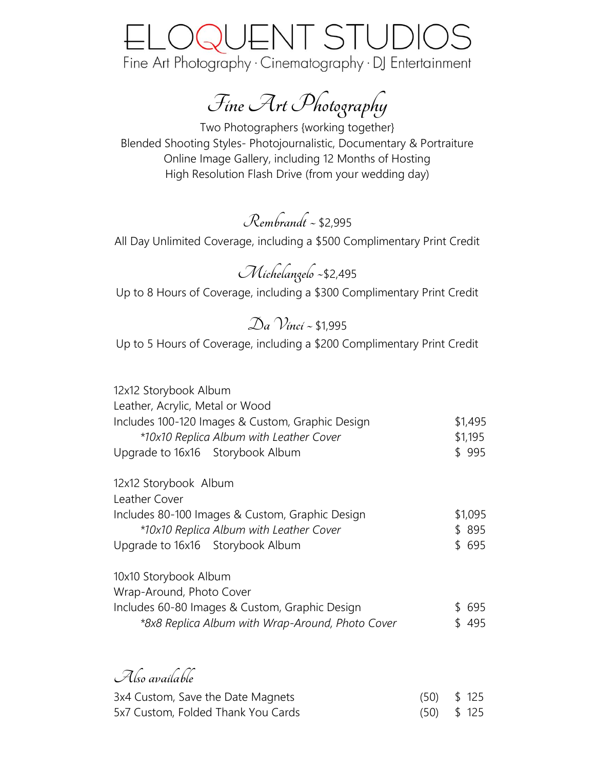### QUENT STUDI Fine Art Photography · Cinematography · DJ Entertainment

**Fine Art Photography**

Two Photographers {working together} Blended Shooting Styles- Photojournalistic, Documentary & Portraiture Online Image Gallery, including 12 Months of Hosting High Resolution Flash Drive (from your wedding day)

**Rembrandt ~** \$2,995

All Day Unlimited Coverage, including a \$500 Complimentary Print Credit

**Michelangelo ~**\$2,495 Up to 8 Hours of Coverage, including a \$300 Complimentary Print Credit

**Da Vinci~** \$1,995

Up to 5 Hours of Coverage, including a \$200 Complimentary Print Credit

| 12x12 Storybook Album                            |      |         |
|--------------------------------------------------|------|---------|
| Leather, Acrylic, Metal or Wood                  |      |         |
| Includes 100-120 Images & Custom, Graphic Design |      | \$1,495 |
| *10x10 Replica Album with Leather Cover          |      | \$1,195 |
| Upgrade to 16x16 Storybook Album                 |      | \$995   |
| 12x12 Storybook Album                            |      |         |
| Leather Cover                                    |      |         |
| Includes 80-100 Images & Custom, Graphic Design  |      | \$1,095 |
| *10x10 Replica Album with Leather Cover          |      | \$895   |
| Upgrade to 16x16 Storybook Album                 |      | \$695   |
| 10x10 Storybook Album                            |      |         |
| Wrap-Around, Photo Cover                         |      |         |
| Includes 60-80 Images & Custom, Graphic Design   |      | \$695   |
| *8x8 Replica Album with Wrap-Around, Photo Cover |      | \$495   |
|                                                  |      |         |
| Also available                                   |      |         |
| 3x4 Custom, Save the Date Magnets                | (50) | \$125   |
| 5x7 Custom, Folded Thank You Cards               | (50) | \$125   |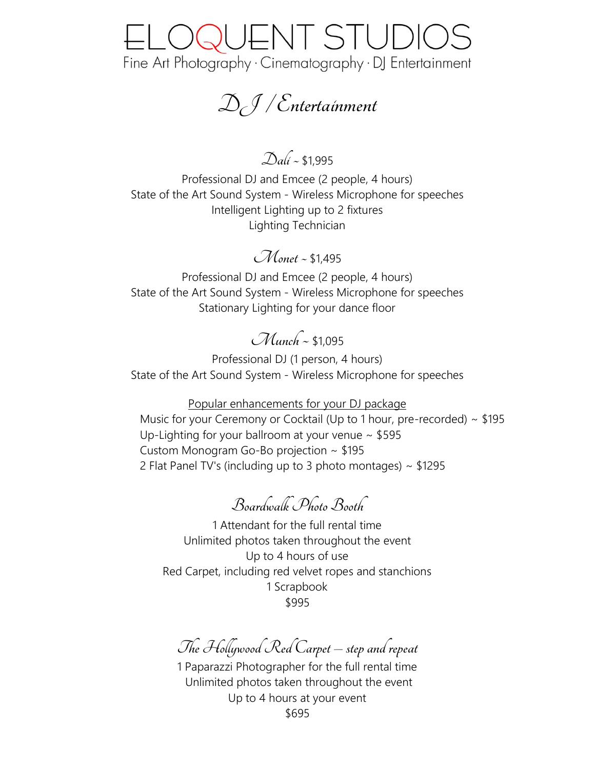## OQUENT STUDI( Fine Art Photography · Cinematography · DJ Entertainment

**DJ / Entertainment**

**Dali ~** \$1,995

Professional DJ and Emcee (2 people, 4 hours) State of the Art Sound System - Wireless Microphone for speeches Intelligent Lighting up to 2 fixtures Lighting Technician

**Monet~** \$1,495

Professional DJ and Emcee (2 people, 4 hours) State of the Art Sound System - Wireless Microphone for speeches Stationary Lighting for your dance floor

### **Munch ~** \$1,095

Professional DJ (1 person, 4 hours) State of the Art Sound System - Wireless Microphone for speeches

Popular enhancements for your DJ package

Music for your Ceremony or Cocktail (Up to 1 hour, pre-recorded) ~ \$195 Up-Lighting for your ballroom at your venue  $\sim$  \$595 Custom Monogram Go-Bo projection ~ \$195 2 Flat Panel TV's (including up to 3 photo montages)  $\sim$  \$1295

**Boardwalk Photo Booth**

1 Attendant for the full rental time Unlimited photos taken throughout the event Up to 4 hours of use Red Carpet, including red velvet ropes and stanchions 1 Scrapbook \$995

**The Hollywood Red Carpet – step and repeat**

1 Paparazzi Photographer for the full rental time Unlimited photos taken throughout the event Up to 4 hours at your event \$695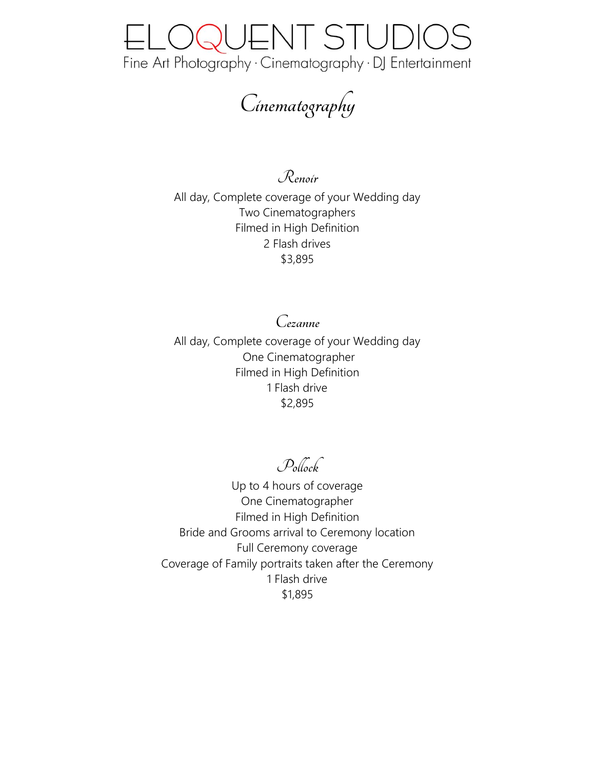

**Cinematography**

**Renoir**

All day, Complete coverage of your Wedding day Two Cinematographers Filmed in High Definition 2 Flash drives \$3,895

**Cezanne** All day, Complete coverage of your Wedding day One Cinematographer Filmed in High Definition 1 Flash drive \$2,895

**Pollock**

Up to 4 hours of coverage One Cinematographer Filmed in High Definition Bride and Grooms arrival to Ceremony location Full Ceremony coverage Coverage of Family portraits taken after the Ceremony 1 Flash drive \$1,895